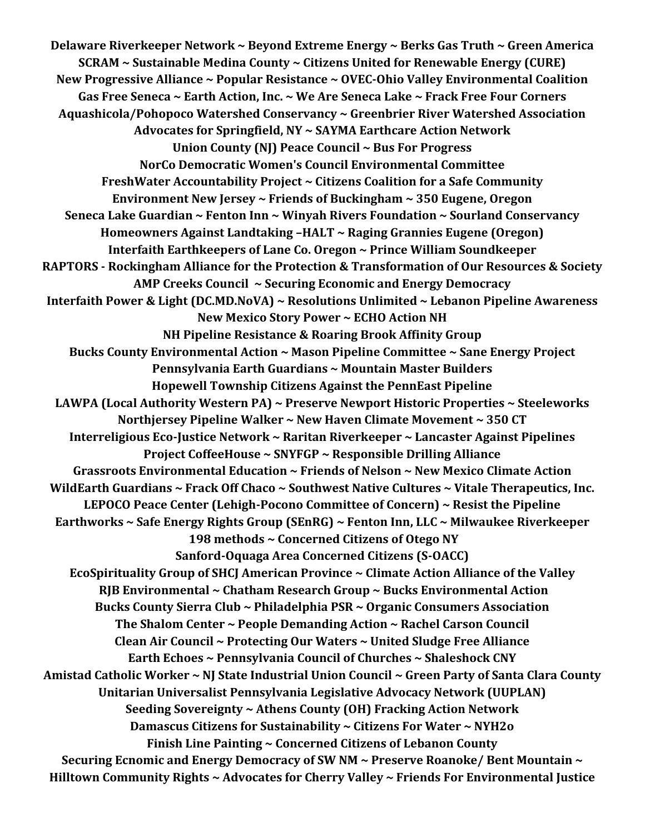**Delaware Riverkeeper Network ~ Beyond Extreme Energy ~ Berks Gas Truth ~ Green America SCRAM ~ Sustainable Medina County ~ Citizens United for Renewable Energy (CURE) New Progressive Alliance ~ Popular Resistance ~ OVEC-Ohio Valley Environmental Coalition Gas Free Seneca ~ Earth Action, Inc. ~ We Are Seneca Lake ~ Frack Free Four Corners Aquashicola/Pohopoco Watershed Conservancy ~ Greenbrier River Watershed Association Advocates for Springfield, NY ~ SAYMA Earthcare Action Network Union County (NJ) Peace Council ~ Bus For Progress NorCo Democratic Women's Council Environmental Committee FreshWater Accountability Project ~ Citizens Coalition for a Safe Community Environment New Jersey ~ Friends of Buckingham ~ 350 Eugene, Oregon Seneca Lake Guardian ~ Fenton Inn ~ Winyah Rivers Foundation ~ Sourland Conservancy Homeowners Against Landtaking –HALT ~ Raging Grannies Eugene (Oregon) Interfaith Earthkeepers of Lane Co. Oregon ~ Prince William Soundkeeper RAPTORS - Rockingham Alliance for the Protection & Transformation of Our Resources & Society AMP Creeks Council ~ Securing Economic and Energy Democracy Interfaith Power & Light (DC.MD.NoVA) ~ Resolutions Unlimited ~ Lebanon Pipeline Awareness New Mexico Story Power ~ ECHO Action NH NH Pipeline Resistance & Roaring Brook Affinity Group Bucks County Environmental Action ~ Mason Pipeline Committee ~ Sane Energy Project Pennsylvania Earth Guardians ~ Mountain Master Builders Hopewell Township Citizens Against the PennEast Pipeline LAWPA (Local Authority Western PA) ~ Preserve Newport Historic Properties ~ Steeleworks Northjersey Pipeline Walker ~ New Haven Climate Movement ~ 350 CT Interreligious Eco-Justice Network ~ Raritan Riverkeeper ~ Lancaster Against Pipelines Project CoffeeHouse ~ SNYFGP ~ Responsible Drilling Alliance Grassroots Environmental Education ~ Friends of Nelson ~ New Mexico Climate Action WildEarth Guardians ~ Frack Off Chaco ~ Southwest Native Cultures ~ Vitale Therapeutics, Inc. LEPOCO Peace Center (Lehigh-Pocono Committee of Concern) ~ Resist the Pipeline Earthworks ~ Safe Energy Rights Group (SEnRG) ~ Fenton Inn, LLC ~ Milwaukee Riverkeeper 198 methods ~ Concerned Citizens of Otego NY Sanford-Oquaga Area Concerned Citizens (S-OACC) EcoSpirituality Group of SHCJ American Province ~ Climate Action Alliance of the Valley RJB Environmental ~ Chatham Research Group ~ Bucks Environmental Action Bucks County Sierra Club ~ Philadelphia PSR ~ Organic Consumers Association The Shalom Center ~ People Demanding Action ~ Rachel Carson Council Clean Air Council ~ Protecting Our Waters ~ United Sludge Free Alliance Earth Echoes ~ Pennsylvania Council of Churches ~ Shaleshock CNY Amistad Catholic Worker ~ NJ State Industrial Union Council ~ Green Party of Santa Clara County Unitarian Universalist Pennsylvania Legislative Advocacy Network (UUPLAN) Seeding Sovereignty ~ Athens County (OH) Fracking Action Network Damascus Citizens for Sustainability ~ Citizens For Water ~ NYH2o Finish Line Painting ~ Concerned Citizens of Lebanon County Securing Ecnomic and Energy Democracy of SW NM ~ Preserve Roanoke/ Bent Mountain ~ Hilltown Community Rights ~ Advocates for Cherry Valley ~ Friends For Environmental Justice**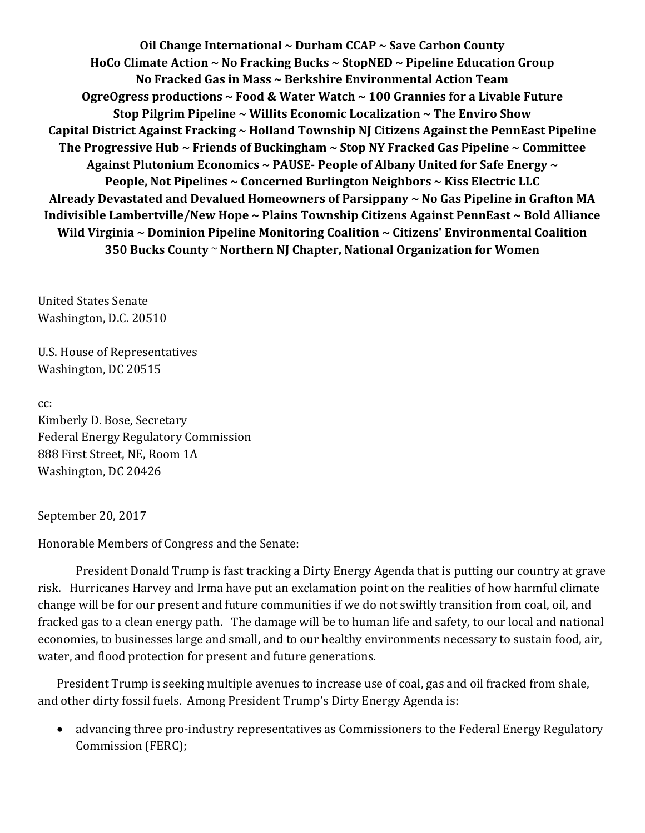**Oil Change International ~ Durham CCAP ~ Save Carbon County HoCo Climate Action ~ No Fracking Bucks ~ StopNED ~ Pipeline Education Group No Fracked Gas in Mass ~ Berkshire Environmental Action Team OgreOgress productions ~ Food & Water Watch ~ 100 Grannies for a Livable Future Stop Pilgrim Pipeline ~ Willits Economic Localization ~ The Enviro Show Capital District Against Fracking ~ Holland Township NJ Citizens Against the PennEast Pipeline The Progressive Hub ~ Friends of Buckingham ~ Stop NY Fracked Gas Pipeline ~ Committee Against Plutonium Economics ~ PAUSE- People of Albany United for Safe Energy ~ People, Not Pipelines ~ Concerned Burlington Neighbors ~ Kiss Electric LLC Already Devastated and Devalued Homeowners of Parsippany ~ No Gas Pipeline in Grafton MA Indivisible Lambertville/New Hope ~ Plains Township Citizens Against PennEast ~ Bold Alliance Wild Virginia ~ Dominion Pipeline Monitoring Coalition ~ Citizens' Environmental Coalition 350 Bucks County** ~ **Northern NJ Chapter, National Organization for Women**

United States Senate Washington, D.C. 20510

U.S. House of Representatives Washington, DC 20515

cc: Kimberly D. Bose, Secretary Federal Energy Regulatory Commission 888 First Street, NE, Room 1A Washington, DC 20426

September 20, 2017

Honorable Members of Congress and the Senate:

President Donald Trump is fast tracking a Dirty Energy Agenda that is putting our country at grave risk. Hurricanes Harvey and Irma have put an exclamation point on the realities of how harmful climate change will be for our present and future communities if we do not swiftly transition from coal, oil, and fracked gas to a clean energy path. The damage will be to human life and safety, to our local and national economies, to businesses large and small, and to our healthy environments necessary to sustain food, air, water, and flood protection for present and future generations.

President Trump is seeking multiple avenues to increase use of coal, gas and oil fracked from shale, and other dirty fossil fuels. Among President Trump's Dirty Energy Agenda is:

 advancing three pro-industry representatives as Commissioners to the Federal Energy Regulatory Commission (FERC);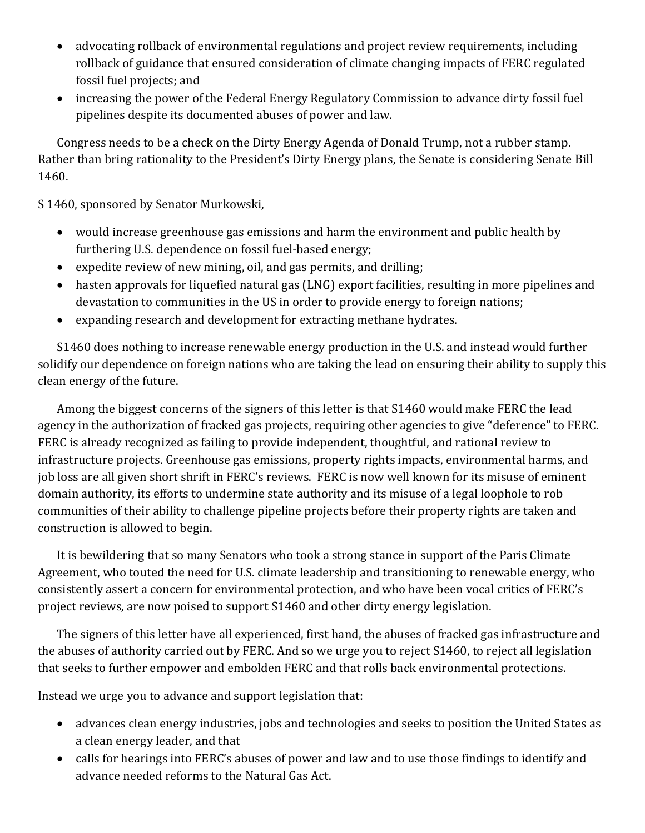- advocating rollback of environmental regulations and project review requirements, including rollback of guidance that ensured consideration of climate changing impacts of FERC regulated fossil fuel projects; and
- increasing the power of the Federal Energy Regulatory Commission to advance dirty fossil fuel pipelines despite its documented abuses of power and law.

Congress needs to be a check on the Dirty Energy Agenda of Donald Trump, not a rubber stamp. Rather than bring rationality to the President's Dirty Energy plans, the Senate is considering Senate Bill 1460.

S 1460, sponsored by Senator Murkowski,

- would increase greenhouse gas emissions and harm the environment and public health by furthering U.S. dependence on fossil fuel-based energy;
- expedite review of new mining, oil, and gas permits, and drilling;
- hasten approvals for liquefied natural gas (LNG) export facilities, resulting in more pipelines and devastation to communities in the US in order to provide energy to foreign nations;
- expanding research and development for extracting methane hydrates.

S1460 does nothing to increase renewable energy production in the U.S. and instead would further solidify our dependence on foreign nations who are taking the lead on ensuring their ability to supply this clean energy of the future.

Among the biggest concerns of the signers of this letter is that S1460 would make FERC the lead agency in the authorization of fracked gas projects, requiring other agencies to give "deference" to FERC. FERC is already recognized as failing to provide independent, thoughtful, and rational review to infrastructure projects. Greenhouse gas emissions, property rights impacts, environmental harms, and job loss are all given short shrift in FERC's reviews. FERC is now well known for its misuse of eminent domain authority, its efforts to undermine state authority and its misuse of a legal loophole to rob communities of their ability to challenge pipeline projects before their property rights are taken and construction is allowed to begin.

It is bewildering that so many Senators who took a strong stance in support of the Paris Climate Agreement, who touted the need for U.S. climate leadership and transitioning to renewable energy, who consistently assert a concern for environmental protection, and who have been vocal critics of FERC's project reviews, are now poised to support S1460 and other dirty energy legislation.

The signers of this letter have all experienced, first hand, the abuses of fracked gas infrastructure and the abuses of authority carried out by FERC. And so we urge you to reject S1460, to reject all legislation that seeks to further empower and embolden FERC and that rolls back environmental protections.

Instead we urge you to advance and support legislation that:

- advances clean energy industries, jobs and technologies and seeks to position the United States as a clean energy leader, and that
- calls for hearings into FERC's abuses of power and law and to use those findings to identify and advance needed reforms to the Natural Gas Act.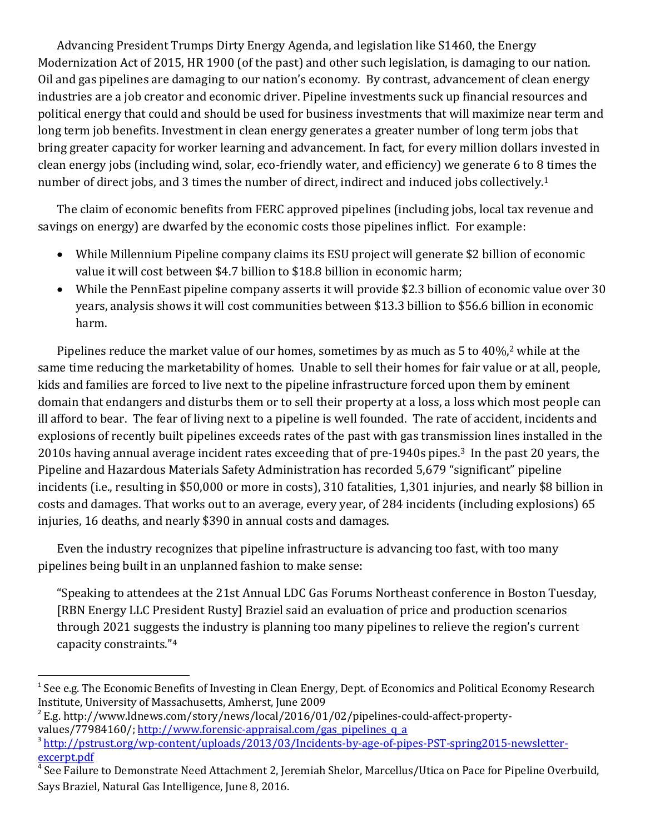Advancing President Trumps Dirty Energy Agenda, and legislation like S1460, the Energy Modernization Act of 2015, HR 1900 (of the past) and other such legislation, is damaging to our nation. Oil and gas pipelines are damaging to our nation's economy. By contrast, advancement of clean energy industries are a job creator and economic driver. Pipeline investments suck up financial resources and political energy that could and should be used for business investments that will maximize near term and long term job benefits. Investment in clean energy generates a greater number of long term jobs that bring greater capacity for worker learning and advancement. In fact, for every million dollars invested in clean energy jobs (including wind, solar, eco-friendly water, and efficiency) we generate 6 to 8 times the number of direct jobs, and 3 times the number of direct, indirect and induced jobs collectively.<sup>1</sup>

The claim of economic benefits from FERC approved pipelines (including jobs, local tax revenue and savings on energy) are dwarfed by the economic costs those pipelines inflict. For example:

- While Millennium Pipeline company claims its ESU project will generate \$2 billion of economic value it will cost between \$4.7 billion to \$18.8 billion in economic harm;
- While the PennEast pipeline company asserts it will provide \$2.3 billion of economic value over 30 years, analysis shows it will cost communities between \$13.3 billion to \$56.6 billion in economic harm.

Pipelines reduce the market value of our homes, sometimes by as much as 5 to 40%,<sup>2</sup> while at the same time reducing the marketability of homes. Unable to sell their homes for fair value or at all, people, kids and families are forced to live next to the pipeline infrastructure forced upon them by eminent domain that endangers and disturbs them or to sell their property at a loss, a loss which most people can ill afford to bear. The fear of living next to a pipeline is well founded. The rate of accident, incidents and explosions of recently built pipelines exceeds rates of the past with gas transmission lines installed in the 2010s having annual average incident rates exceeding that of pre-1940s pipes. <sup>3</sup> In the past 20 years, the Pipeline and Hazardous Materials Safety Administration has recorded 5,679 "significant" pipeline incidents (i.e., resulting in \$50,000 or more in costs), 310 fatalities, 1,301 injuries, and nearly \$8 billion in costs and damages. That works out to an average, every year, of 284 incidents (including explosions) 65 injuries, 16 deaths, and nearly \$390 in annual costs and damages.

Even the industry recognizes that pipeline infrastructure is advancing too fast, with too many pipelines being built in an unplanned fashion to make sense:

"Speaking to attendees at the 21st Annual LDC Gas Forums Northeast conference in Boston Tuesday, [RBN Energy LLC President Rusty] Braziel said an evaluation of price and production scenarios through 2021 suggests the industry is planning too many pipelines to relieve the region's current capacity constraints."<sup>4</sup>

 $\overline{\phantom{a}}$ 

<sup>&</sup>lt;sup>1</sup> See e.g. The Economic Benefits of Investing in Clean Energy, Dept. of Economics and Political Economy Research Institute, University of Massachusetts, Amherst, June 2009

<sup>&</sup>lt;sup>2</sup> E.g. http://www.ldnews.com/story/news/local/2016/01/02/pipelines-could-affect-propertyvalues/77984160/; [http://www.forensic-appraisal.com/gas\\_pipelines\\_q\\_a](http://www.forensic-appraisal.com/gas_pipelines_q_a)

<sup>&</sup>lt;sup>3</sup>[http://pstrust.org/wp-content/uploads/2013/03/Incidents-by-age-of-pipes-PST-spring2015-newsletter](http://pstrust.org/wp-content/uploads/2013/03/Incidents-by-age-of-pipes-PST-spring2015-newsletter-excerpt.pdf)[excerpt.pdf](http://pstrust.org/wp-content/uploads/2013/03/Incidents-by-age-of-pipes-PST-spring2015-newsletter-excerpt.pdf)

<sup>4</sup> See Failure to Demonstrate Need Attachment 2, Jeremiah Shelor, Marcellus/Utica on Pace for Pipeline Overbuild, Says Braziel, Natural Gas Intelligence, June 8, 2016.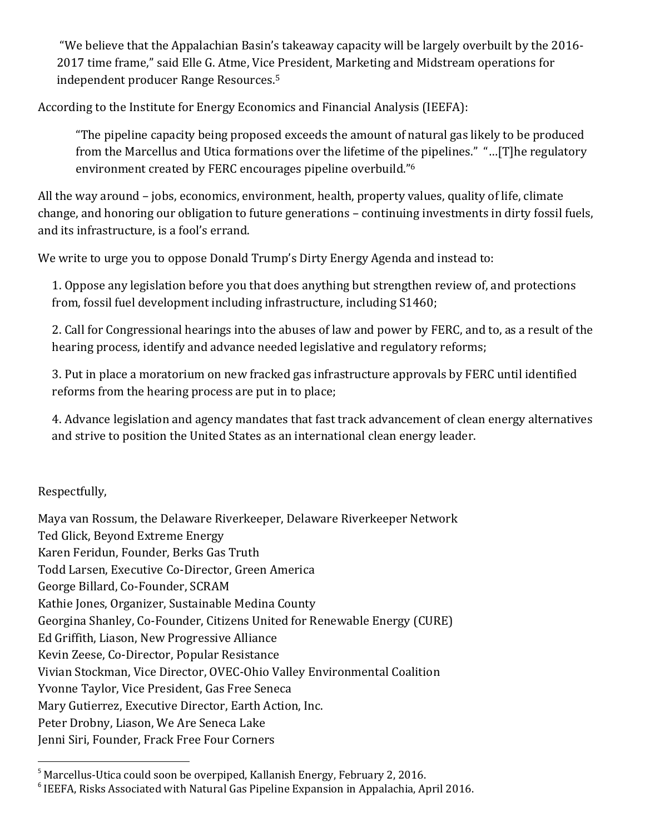"We believe that the Appalachian Basin's takeaway capacity will be largely overbuilt by the 2016- 2017 time frame," said Elle G. Atme, Vice President, Marketing and Midstream operations for independent producer Range Resources.<sup>5</sup>

According to the Institute for Energy Economics and Financial Analysis (IEEFA):

"The pipeline capacity being proposed exceeds the amount of natural gas likely to be produced from the Marcellus and Utica formations over the lifetime of the pipelines." "…[T]he regulatory environment created by FERC encourages pipeline overbuild."<sup>6</sup>

All the way around – jobs, economics, environment, health, property values, quality of life, climate change, and honoring our obligation to future generations – continuing investments in dirty fossil fuels, and its infrastructure, is a fool's errand.

We write to urge you to oppose Donald Trump's Dirty Energy Agenda and instead to:

1. Oppose any legislation before you that does anything but strengthen review of, and protections from, fossil fuel development including infrastructure, including S1460;

2. Call for Congressional hearings into the abuses of law and power by FERC, and to, as a result of the hearing process, identify and advance needed legislative and regulatory reforms;

3. Put in place a moratorium on new fracked gas infrastructure approvals by FERC until identified reforms from the hearing process are put in to place;

4. Advance legislation and agency mandates that fast track advancement of clean energy alternatives and strive to position the United States as an international clean energy leader.

Respectfully,

Maya van Rossum, the Delaware Riverkeeper, Delaware Riverkeeper Network Ted Glick, Beyond Extreme Energy Karen Feridun, Founder, Berks Gas Truth Todd Larsen, Executive Co-Director, Green America George Billard, Co-Founder, SCRAM Kathie Jones, Organizer, Sustainable Medina County Georgina Shanley, Co-Founder, Citizens United for Renewable Energy (CURE) Ed Griffith, Liason, New Progressive Alliance Kevin Zeese, Co-Director, Popular Resistance Vivian Stockman, Vice Director, OVEC-Ohio Valley Environmental Coalition Yvonne Taylor, Vice President, Gas Free Seneca Mary Gutierrez, Executive Director, Earth Action, Inc. Peter Drobny, Liason, We Are Seneca Lake Jenni Siri, Founder, Frack Free Four Corners  $\overline{a}$ 

<sup>&</sup>lt;sup>5</sup> Marcellus-Utica could soon be overpiped, Kallanish Energy, February 2, 2016.

<sup>&</sup>lt;sup>6</sup> IEEFA, Risks Associated with Natural Gas Pipeline Expansion in Appalachia, April 2016.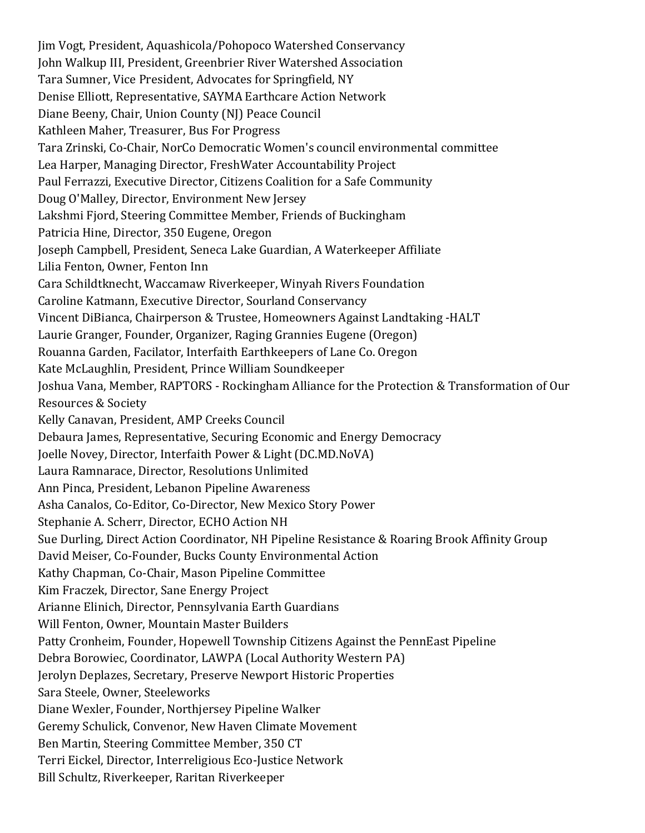Jim Vogt, President, Aquashicola/Pohopoco Watershed Conservancy John Walkup III, President, Greenbrier River Watershed Association Tara Sumner, Vice President, Advocates for Springfield, NY Denise Elliott, Representative, SAYMA Earthcare Action Network Diane Beeny, Chair, Union County (NJ) Peace Council Kathleen Maher, Treasurer, Bus For Progress Tara Zrinski, Co-Chair, NorCo Democratic Women's council environmental committee Lea Harper, Managing Director, FreshWater Accountability Project Paul Ferrazzi, Executive Director, Citizens Coalition for a Safe Community Doug O'Malley, Director, Environment New Jersey Lakshmi Fjord, Steering Committee Member, Friends of Buckingham Patricia Hine, Director, 350 Eugene, Oregon Joseph Campbell, President, Seneca Lake Guardian, A Waterkeeper Affiliate Lilia Fenton, Owner, Fenton Inn Cara Schildtknecht, Waccamaw Riverkeeper, Winyah Rivers Foundation Caroline Katmann, Executive Director, Sourland Conservancy Vincent DiBianca, Chairperson & Trustee, Homeowners Against Landtaking -HALT Laurie Granger, Founder, Organizer, Raging Grannies Eugene (Oregon) Rouanna Garden, Facilator, Interfaith Earthkeepers of Lane Co. Oregon Kate McLaughlin, President, Prince William Soundkeeper Joshua Vana, Member, RAPTORS - Rockingham Alliance for the Protection & Transformation of Our Resources & Society Kelly Canavan, President, AMP Creeks Council Debaura James, Representative, Securing Economic and Energy Democracy Joelle Novey, Director, Interfaith Power & Light (DC.MD.NoVA) Laura Ramnarace, Director, Resolutions Unlimited Ann Pinca, President, Lebanon Pipeline Awareness Asha Canalos, Co-Editor, Co-Director, New Mexico Story Power Stephanie A. Scherr, Director, ECHO Action NH Sue Durling, Direct Action Coordinator, NH Pipeline Resistance & Roaring Brook Affinity Group David Meiser, Co-Founder, Bucks County Environmental Action Kathy Chapman, Co-Chair, Mason Pipeline Committee Kim Fraczek, Director, Sane Energy Project Arianne Elinich, Director, Pennsylvania Earth Guardians Will Fenton, Owner, Mountain Master Builders Patty Cronheim, Founder, Hopewell Township Citizens Against the PennEast Pipeline Debra Borowiec, Coordinator, LAWPA (Local Authority Western PA) Jerolyn Deplazes, Secretary, Preserve Newport Historic Properties Sara Steele, Owner, Steeleworks Diane Wexler, Founder, Northjersey Pipeline Walker Geremy Schulick, Convenor, New Haven Climate Movement Ben Martin, Steering Committee Member, 350 CT Terri Eickel, Director, Interreligious Eco-Justice Network Bill Schultz, Riverkeeper, Raritan Riverkeeper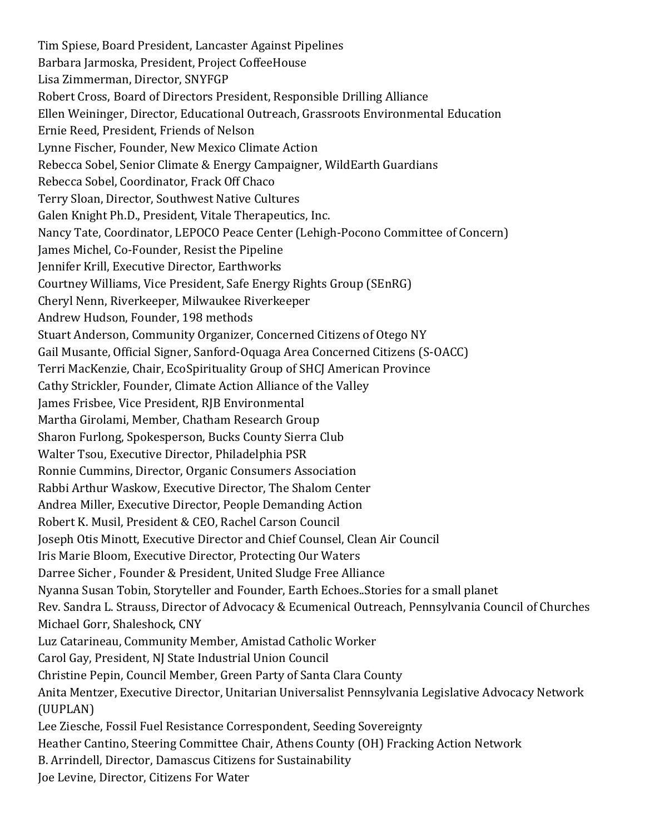Tim Spiese, Board President, Lancaster Against Pipelines Barbara Jarmoska, President, Project CoffeeHouse Lisa Zimmerman, Director, SNYFGP Robert Cross, Board of Directors President, Responsible Drilling Alliance Ellen Weininger, Director, Educational Outreach, Grassroots Environmental Education Ernie Reed, President, Friends of Nelson Lynne Fischer, Founder, New Mexico Climate Action Rebecca Sobel, Senior Climate & Energy Campaigner, WildEarth Guardians Rebecca Sobel, Coordinator, Frack Off Chaco Terry Sloan, Director, Southwest Native Cultures Galen Knight Ph.D., President, Vitale Therapeutics, Inc. Nancy Tate, Coordinator, LEPOCO Peace Center (Lehigh-Pocono Committee of Concern) James Michel, Co-Founder, Resist the Pipeline Jennifer Krill, Executive Director, Earthworks Courtney Williams, Vice President, Safe Energy Rights Group (SEnRG) Cheryl Nenn, Riverkeeper, Milwaukee Riverkeeper Andrew Hudson, Founder, 198 methods Stuart Anderson, Community Organizer, Concerned Citizens of Otego NY Gail Musante, Official Signer, Sanford-Oquaga Area Concerned Citizens (S-OACC) Terri MacKenzie, Chair, EcoSpirituality Group of SHCJ American Province Cathy Strickler, Founder, Climate Action Alliance of the Valley James Frisbee, Vice President, RJB Environmental Martha Girolami, Member, Chatham Research Group Sharon Furlong, Spokesperson, Bucks County Sierra Club Walter Tsou, Executive Director, Philadelphia PSR Ronnie Cummins, Director, Organic Consumers Association Rabbi Arthur Waskow, Executive Director, The Shalom Center Andrea Miller, Executive Director, People Demanding Action Robert K. Musil, President & CEO, Rachel Carson Council Joseph Otis Minott, Executive Director and Chief Counsel, Clean Air Council Iris Marie Bloom, Executive Director, Protecting Our Waters Darree Sicher , Founder & President, United Sludge Free Alliance Nyanna Susan Tobin, Storyteller and Founder, Earth Echoes..Stories for a small planet Rev. Sandra L. Strauss, Director of Advocacy & Ecumenical Outreach, Pennsylvania Council of Churches Michael Gorr, Shaleshock, CNY Luz Catarineau, Community Member, Amistad Catholic Worker Carol Gay, President, NJ State Industrial Union Council Christine Pepin, Council Member, Green Party of Santa Clara County Anita Mentzer, Executive Director, Unitarian Universalist Pennsylvania Legislative Advocacy Network (UUPLAN) Lee Ziesche, Fossil Fuel Resistance Correspondent, Seeding Sovereignty Heather Cantino, Steering Committee Chair, Athens County (OH) Fracking Action Network B. Arrindell, Director, Damascus Citizens for Sustainability Joe Levine, Director, Citizens For Water